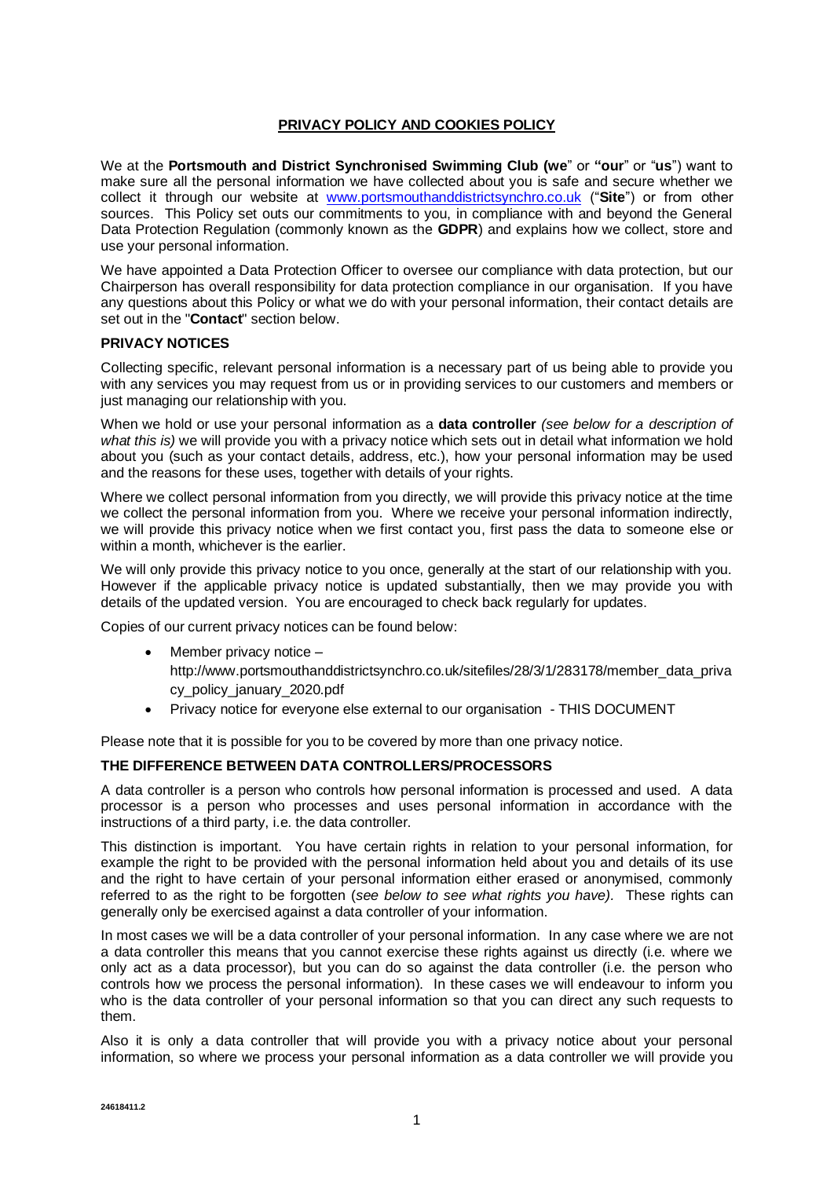## **PRIVACY POLICY AND COOKIES POLICY**

We at the **Portsmouth and District Synchronised Swimming Club (we**" or **"our**" or "**us**") want to make sure all the personal information we have collected about you is safe and secure whether we collect it through our website at [www.portsmouthanddistrictsynchro.co.uk](http://www.portsmouthanddistrictsynchro.co.uk/) ("**Site**") or from other sources. This Policy set outs our commitments to you, in compliance with and beyond the General Data Protection Regulation (commonly known as the **GDPR**) and explains how we collect, store and use your personal information.

We have appointed a Data Protection Officer to oversee our compliance with data protection, but our Chairperson has overall responsibility for data protection compliance in our organisation. If you have any questions about this Policy or what we do with your personal information, their contact details are set out in the "**Contact**" section below.

## **PRIVACY NOTICES**

Collecting specific, relevant personal information is a necessary part of us being able to provide you with any services you may request from us or in providing services to our customers and members or just managing our relationship with you.

When we hold or use your personal information as a **data controller** *(see below for a description of what this is)* we will provide you with a privacy notice which sets out in detail what information we hold about you (such as your contact details, address, etc.), how your personal information may be used and the reasons for these uses, together with details of your rights.

Where we collect personal information from you directly, we will provide this privacy notice at the time we collect the personal information from you. Where we receive your personal information indirectly, we will provide this privacy notice when we first contact you, first pass the data to someone else or within a month, whichever is the earlier.

We will only provide this privacy notice to you once, generally at the start of our relationship with you. However if the applicable privacy notice is updated substantially, then we may provide you with details of the updated version. You are encouraged to check back regularly for updates.

Copies of our current privacy notices can be found below:

- Member privacy notice http://www.portsmouthanddistrictsynchro.co.uk/sitefiles/28/3/1/283178/member\_data\_priva cy\_policy\_january\_2020.pdf
- Privacy notice for everyone else external to our organisation THIS DOCUMENT

Please note that it is possible for you to be covered by more than one privacy notice.

## **THE DIFFERENCE BETWEEN DATA CONTROLLERS/PROCESSORS**

A data controller is a person who controls how personal information is processed and used. A data processor is a person who processes and uses personal information in accordance with the instructions of a third party, i.e. the data controller.

This distinction is important. You have certain rights in relation to your personal information, for example the right to be provided with the personal information held about you and details of its use and the right to have certain of your personal information either erased or anonymised, commonly referred to as the right to be forgotten (*see below to see what rights you have).* These rights can generally only be exercised against a data controller of your information.

In most cases we will be a data controller of your personal information. In any case where we are not a data controller this means that you cannot exercise these rights against us directly (i.e. where we only act as a data processor), but you can do so against the data controller (i.e. the person who controls how we process the personal information). In these cases we will endeavour to inform you who is the data controller of your personal information so that you can direct any such requests to them.

Also it is only a data controller that will provide you with a privacy notice about your personal information, so where we process your personal information as a data controller we will provide you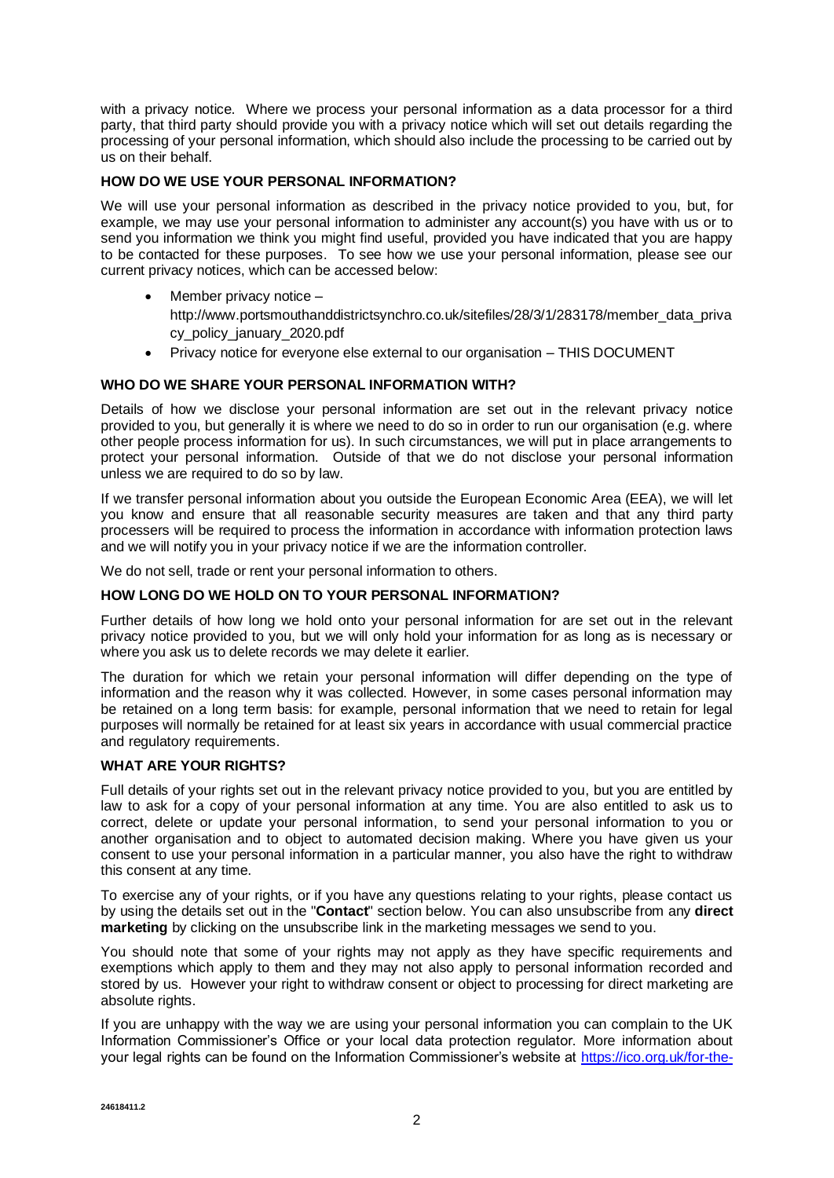with a privacy notice. Where we process your personal information as a data processor for a third party, that third party should provide you with a privacy notice which will set out details regarding the processing of your personal information, which should also include the processing to be carried out by us on their behalf.

### **HOW DO WE USE YOUR PERSONAL INFORMATION?**

We will use your personal information as described in the privacy notice provided to you, but, for example, we may use your personal information to administer any account(s) you have with us or to send you information we think you might find useful, provided you have indicated that you are happy to be contacted for these purposes. To see how we use your personal information, please see our current privacy notices, which can be accessed below:

- Member privacy notice
	- http://www.portsmouthanddistrictsynchro.co.uk/sitefiles/28/3/1/283178/member\_data\_priva cy\_policy\_january\_2020.pdf
- Privacy notice for everyone else external to our organisation THIS DOCUMENT

## **WHO DO WE SHARE YOUR PERSONAL INFORMATION WITH?**

Details of how we disclose your personal information are set out in the relevant privacy notice provided to you, but generally it is where we need to do so in order to run our organisation (e.g. where other people process information for us). In such circumstances, we will put in place arrangements to protect your personal information. Outside of that we do not disclose your personal information unless we are required to do so by law.

If we transfer personal information about you outside the European Economic Area (EEA), we will let you know and ensure that all reasonable security measures are taken and that any third party processers will be required to process the information in accordance with information protection laws and we will notify you in your privacy notice if we are the information controller.

We do not sell, trade or rent your personal information to others.

#### **HOW LONG DO WE HOLD ON TO YOUR PERSONAL INFORMATION?**

Further details of how long we hold onto your personal information for are set out in the relevant privacy notice provided to you, but we will only hold your information for as long as is necessary or where you ask us to delete records we may delete it earlier.

The duration for which we retain your personal information will differ depending on the type of information and the reason why it was collected. However, in some cases personal information may be retained on a long term basis: for example, personal information that we need to retain for legal purposes will normally be retained for at least six years in accordance with usual commercial practice and regulatory requirements.

### **WHAT ARE YOUR RIGHTS?**

Full details of your rights set out in the relevant privacy notice provided to you, but you are entitled by law to ask for a copy of your personal information at any time. You are also entitled to ask us to correct, delete or update your personal information, to send your personal information to you or another organisation and to object to automated decision making. Where you have given us your consent to use your personal information in a particular manner, you also have the right to withdraw this consent at any time.

To exercise any of your rights, or if you have any questions relating to your rights, please contact us by using the details set out in the "**Contact**" section below. You can also unsubscribe from any **direct marketing** by clicking on the unsubscribe link in the marketing messages we send to you.

You should note that some of your rights may not apply as they have specific requirements and exemptions which apply to them and they may not also apply to personal information recorded and stored by us. However your right to withdraw consent or object to processing for direct marketing are absolute rights.

If you are unhappy with the way we are using your personal information you can complain to the UK Information Commissioner's Office or your local data protection regulator. More information about your legal rights can be found on the Information Commissioner's website at [https://ico.org.uk/for-the-](https://ico.org.uk/for-the-public/)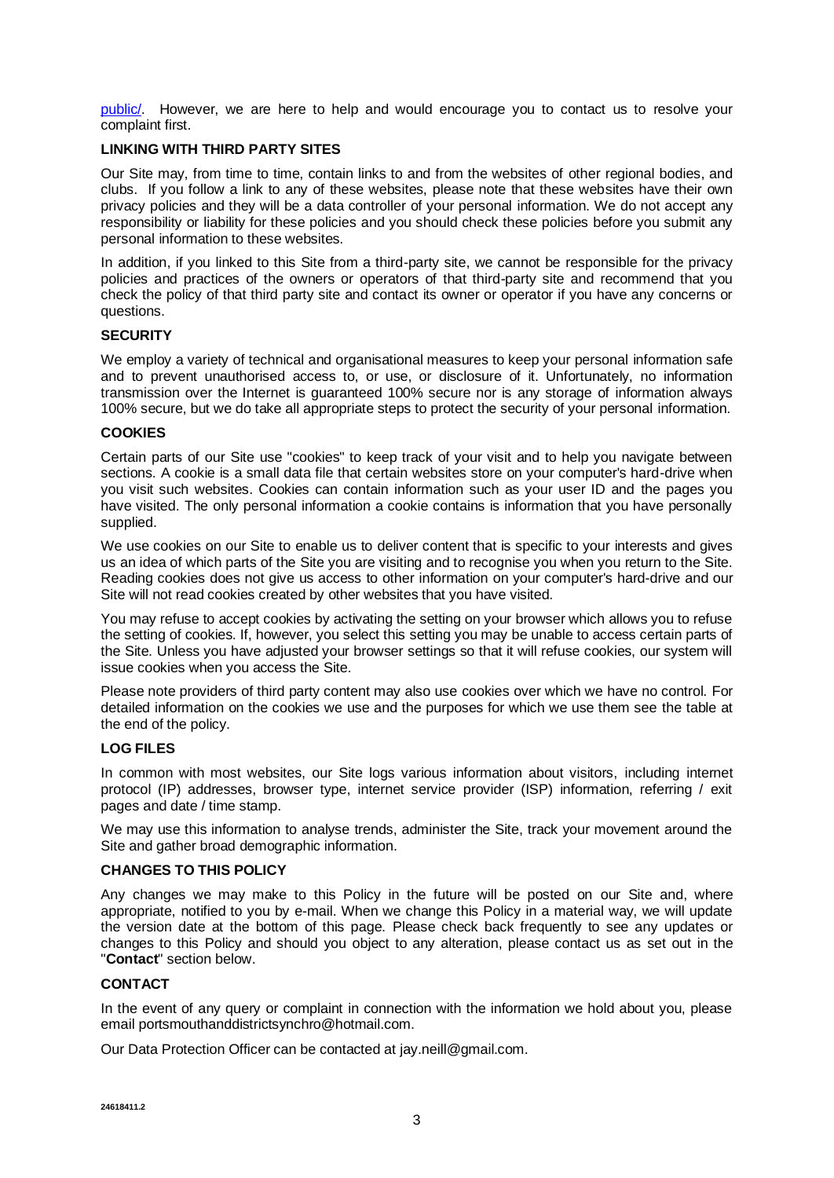[public/.](https://ico.org.uk/for-the-public/) However, we are here to help and would encourage you to contact us to resolve your complaint first.

#### **LINKING WITH THIRD PARTY SITES**

Our Site may, from time to time, contain links to and from the websites of other regional bodies, and clubs. If you follow a link to any of these websites, please note that these websites have their own privacy policies and they will be a data controller of your personal information. We do not accept any responsibility or liability for these policies and you should check these policies before you submit any personal information to these websites.

In addition, if you linked to this Site from a third-party site, we cannot be responsible for the privacy policies and practices of the owners or operators of that third-party site and recommend that you check the policy of that third party site and contact its owner or operator if you have any concerns or questions.

### **SECURITY**

We employ a variety of technical and organisational measures to keep your personal information safe and to prevent unauthorised access to, or use, or disclosure of it. Unfortunately, no information transmission over the Internet is guaranteed 100% secure nor is any storage of information always 100% secure, but we do take all appropriate steps to protect the security of your personal information.

### **COOKIES**

Certain parts of our Site use "cookies" to keep track of your visit and to help you navigate between sections. A cookie is a small data file that certain websites store on your computer's hard-drive when you visit such websites. Cookies can contain information such as your user ID and the pages you have visited. The only personal information a cookie contains is information that you have personally supplied.

We use cookies on our Site to enable us to deliver content that is specific to your interests and gives us an idea of which parts of the Site you are visiting and to recognise you when you return to the Site. Reading cookies does not give us access to other information on your computer's hard-drive and our Site will not read cookies created by other websites that you have visited.

You may refuse to accept cookies by activating the setting on your browser which allows you to refuse the setting of cookies. If, however, you select this setting you may be unable to access certain parts of the Site. Unless you have adjusted your browser settings so that it will refuse cookies, our system will issue cookies when you access the Site.

Please note providers of third party content may also use cookies over which we have no control. For detailed information on the cookies we use and the purposes for which we use them see the table at the end of the policy.

## **LOG FILES**

In common with most websites, our Site logs various information about visitors, including internet protocol (IP) addresses, browser type, internet service provider (ISP) information, referring / exit pages and date / time stamp.

We may use this information to analyse trends, administer the Site, track your movement around the Site and gather broad demographic information.

### **CHANGES TO THIS POLICY**

Any changes we may make to this Policy in the future will be posted on our Site and, where appropriate, notified to you by e-mail. When we change this Policy in a material way, we will update the version date at the bottom of this page. Please check back frequently to see any updates or changes to this Policy and should you object to any alteration, please contact us as set out in the "**Contact**" section below.

## **CONTACT**

In the event of any query or complaint in connection with the information we hold about you, please email portsmouthanddistrictsynchro@hotmail.com.

Our Data Protection Officer can be contacted at jay.neill@gmail.com.